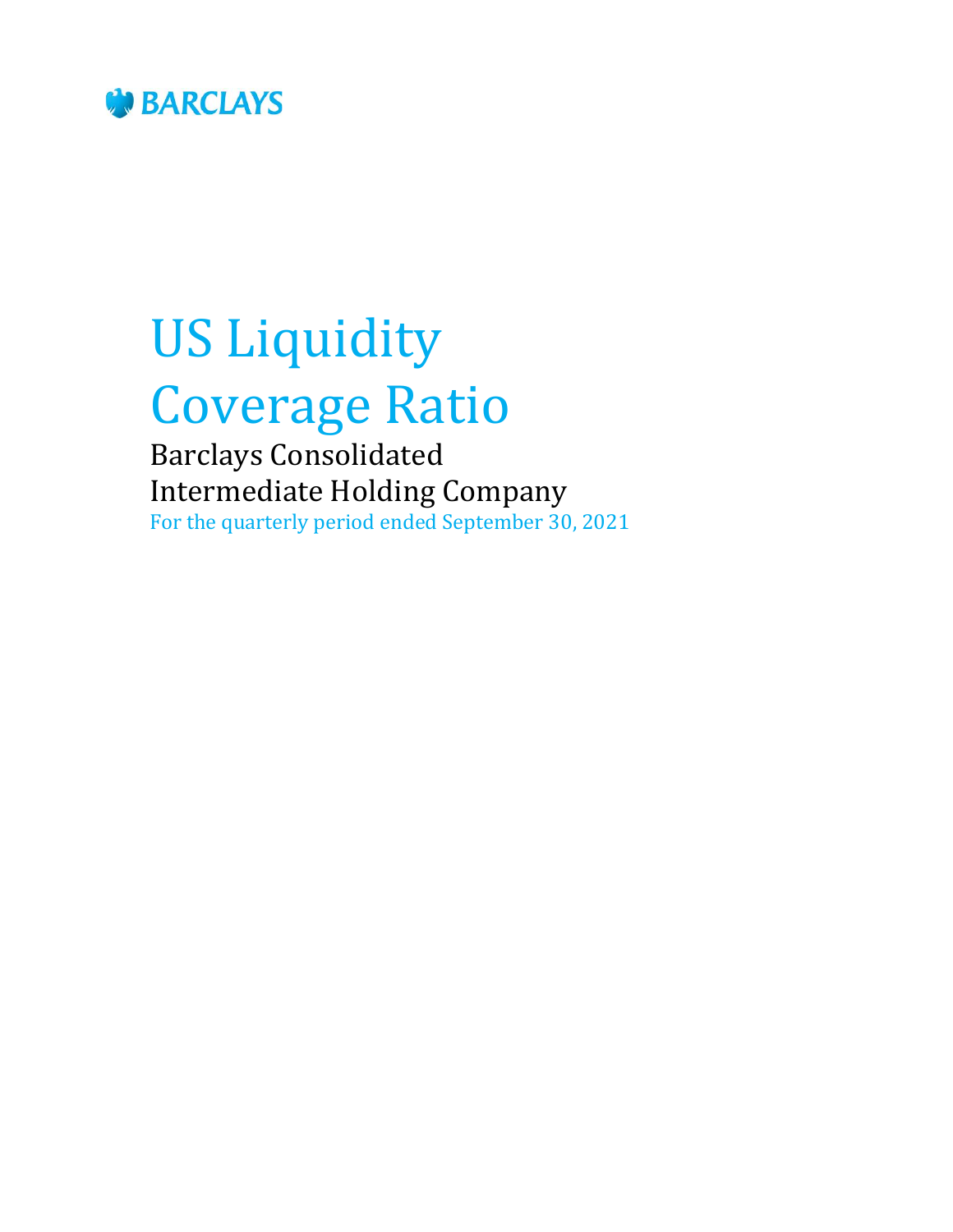

# US Liquidity Coverage Ratio

Barclays Consolidated Intermediate Holding Company For the quarterly period ended September 30, 2021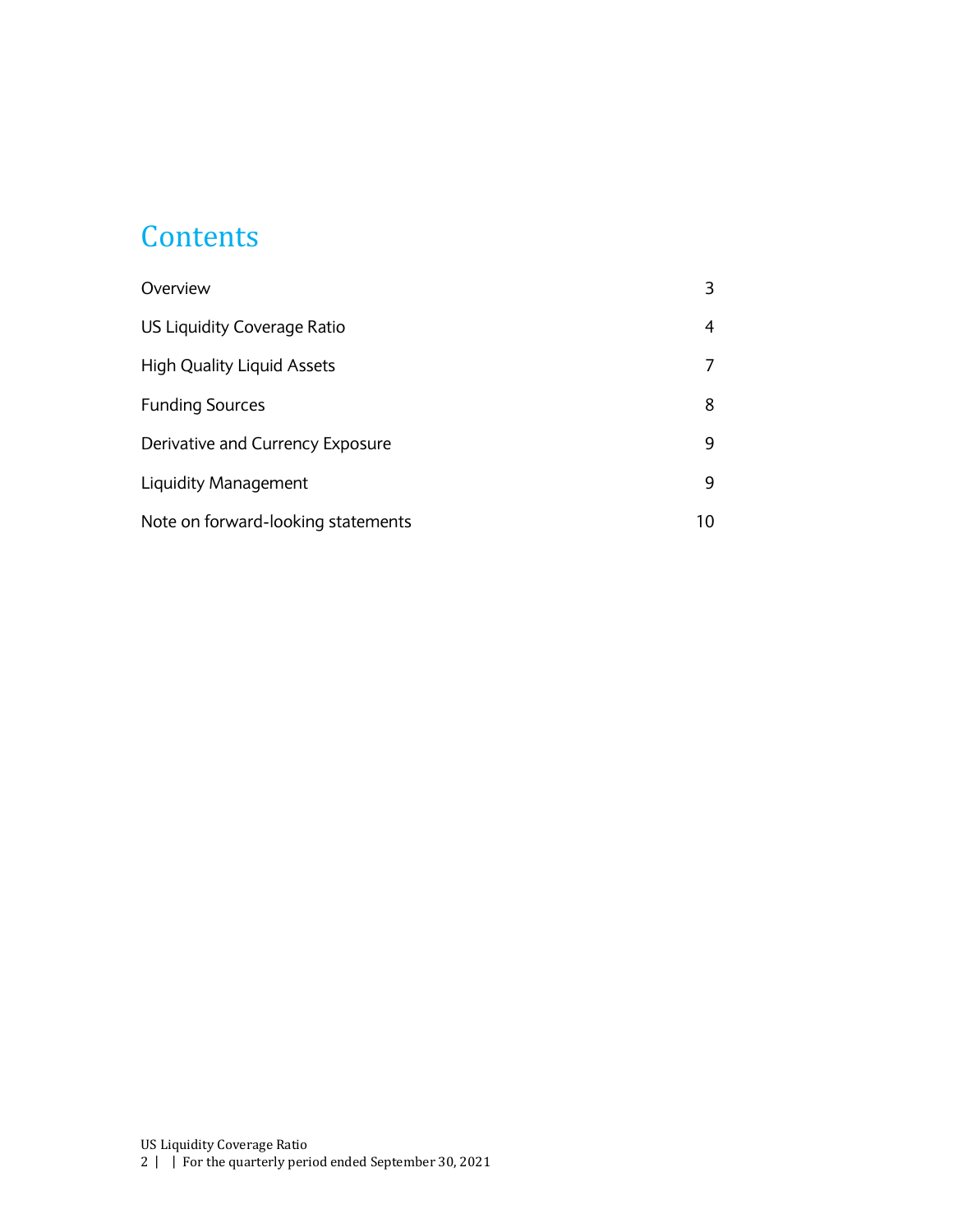#### **Contents**

| Overview                           |    |
|------------------------------------|----|
| US Liquidity Coverage Ratio        | 4  |
| <b>High Quality Liquid Assets</b>  |    |
| <b>Funding Sources</b>             | 8  |
| Derivative and Currency Exposure   | 9  |
| Liquidity Management               | 9  |
| Note on forward-looking statements | 10 |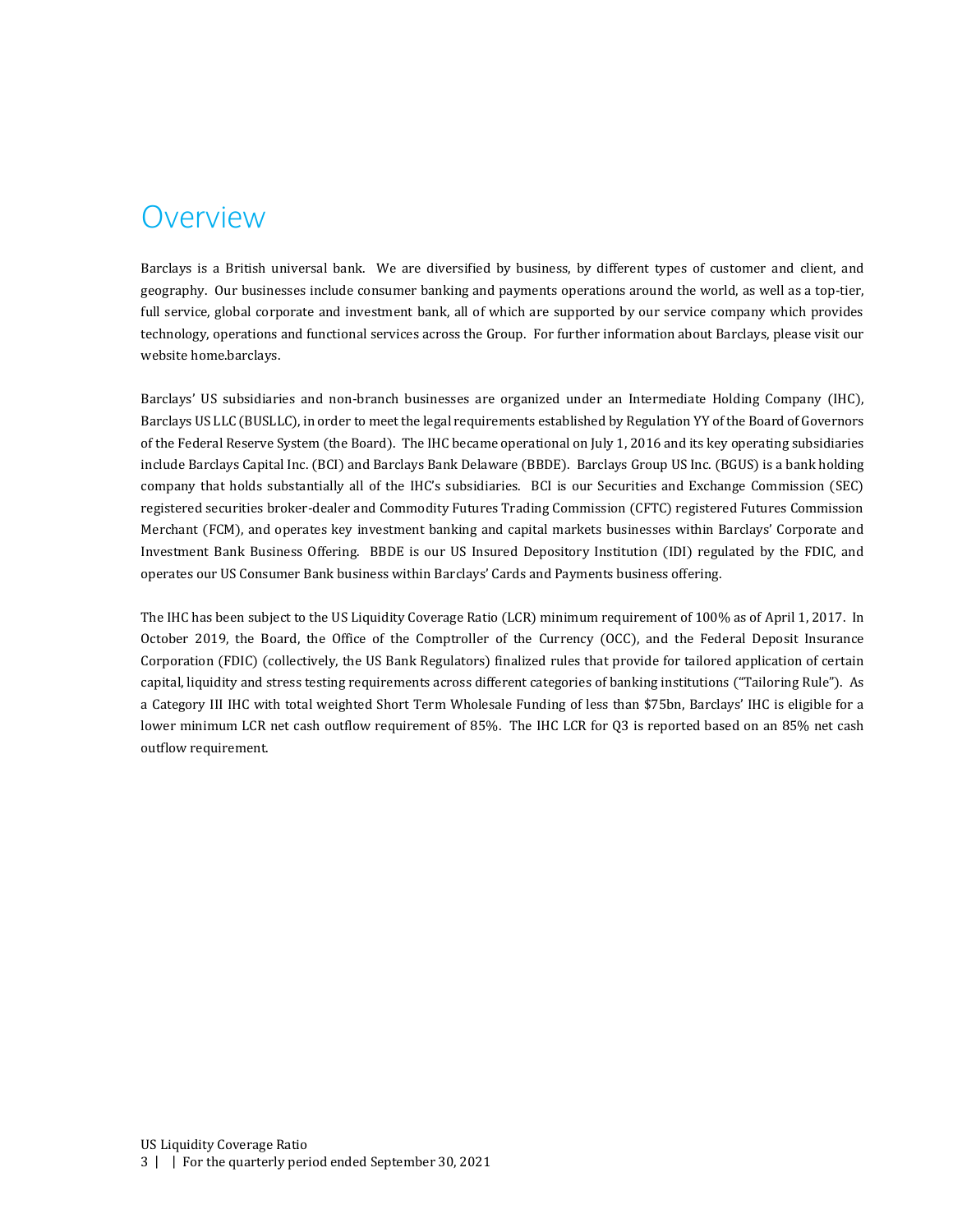#### <span id="page-2-0"></span>Overview

Barclays is a British universal bank. We are diversified by business, by different types of customer and client, and geography. Our businesses include consumer banking and payments operations around the world, as well as a top-tier, full service, global corporate and investment bank, all of which are supported by our service company which provides technology, operations and functional services across the Group. For further information about Barclays, please visit our website home.barclays.

Barclays' US subsidiaries and non-branch businesses are organized under an Intermediate Holding Company (IHC), Barclays US LLC (BUSLLC), in order to meet the legal requirements established by Regulation YY of the Board of Governors of the Federal Reserve System (the Board). The IHC became operational on July 1, 2016 and its key operating subsidiaries include Barclays Capital Inc. (BCI) and Barclays Bank Delaware (BBDE). Barclays Group US Inc. (BGUS) is a bank holding company that holds substantially all of the IHC's subsidiaries. BCI is our Securities and Exchange Commission (SEC) registered securities broker-dealer and Commodity Futures Trading Commission (CFTC) registered Futures Commission Merchant (FCM), and operates key investment banking and capital markets businesses within Barclays' Corporate and Investment Bank Business Offering. BBDE is our US Insured Depository Institution (IDI) regulated by the FDIC, and operates our US Consumer Bank business within Barclays' Cards and Payments business offering.

The IHC has been subject to the US Liquidity Coverage Ratio (LCR) minimum requirement of 100% as of April 1, 2017. In October 2019, the Board, the Office of the Comptroller of the Currency (OCC), and the Federal Deposit Insurance Corporation (FDIC) (collectively, the US Bank Regulators) finalized rules that provide for tailored application of certain capital, liquidity and stress testing requirements across different categories of banking institutions ("Tailoring Rule"). As a Category III IHC with total weighted Short Term Wholesale Funding of less than \$75bn, Barclays' IHC is eligible for a lower minimum LCR net cash outflow requirement of 85%. The IHC LCR for Q3 is reported based on an 85% net cash outflow requirement.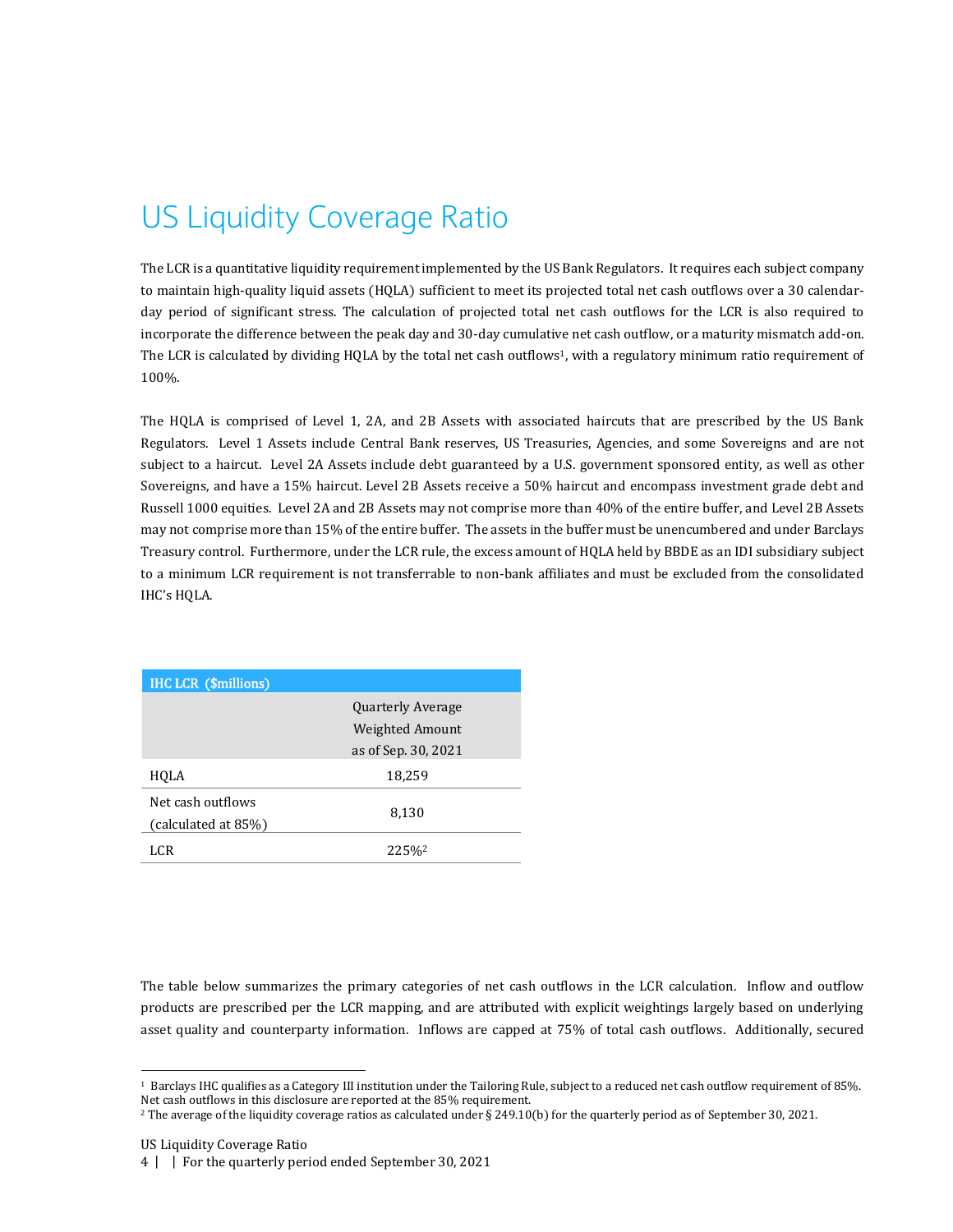# <span id="page-3-0"></span>US Liquidity Coverage Ratio

The LCR is a quantitative liquidity requirement implemented by the US Bank Regulators. It requires each subject company to maintain high-quality liquid assets (HQLA) sufficient to meet its projected total net cash outflows over a 30 calendarday period of significant stress. The calculation of projected total net cash outflows for the LCR is also required to incorporate the difference between the peak day and 30-day cumulative net cash outflow, or a maturity mismatch add-on. The LCR is calculated by dividing HQLA by the total net cash outflows<sup>1</sup>, with a regulatory minimum ratio requirement of 100%.

The HQLA is comprised of Level 1, 2A, and 2B Assets with associated haircuts that are prescribed by the US Bank Regulators. Level 1 Assets include Central Bank reserves, US Treasuries, Agencies, and some Sovereigns and are not subject to a haircut. Level 2A Assets include debt guaranteed by a U.S. government sponsored entity, as well as other Sovereigns, and have a 15% haircut. Level 2B Assets receive a 50% haircut and encompass investment grade debt and Russell 1000 equities. Level 2A and 2B Assets may not comprise more than 40% of the entire buffer, and Level 2B Assets may not comprise more than 15% of the entire buffer. The assets in the buffer must be unencumbered and under Barclays Treasury control. Furthermore, under the LCR rule, the excess amount of HQLA held by BBDE as an IDI subsidiary subject to a minimum LCR requirement is not transferrable to non-bank affiliates and must be excluded from the consolidated IHC's HQLA.

| <b>IHC LCR (\$millions)</b> |                          |
|-----------------------------|--------------------------|
|                             | <b>Quarterly Average</b> |
|                             | Weighted Amount          |
|                             | as of Sep. 30, 2021      |
| HQLA                        | 18,259                   |
| Net cash outflows           |                          |
| (calculated at 85%)         | 8,130                    |
| LCR                         | 225%                     |

The table below summarizes the primary categories of net cash outflows in the LCR calculation. Inflow and outflow products are prescribed per the LCR mapping, and are attributed with explicit weightings largely based on underlying asset quality and counterparty information. Inflows are capped at 75% of total cash outflows. Additionally, secured

1

<sup>1</sup> Barclays IHC qualifies as a Category III institution under the Tailoring Rule, subject to a reduced net cash outflow requirement of 85%. Net cash outflows in this disclosure are reported at the 85% requirement.

<sup>2</sup> The average of the liquidity coverage ratios as calculated under § 249.10(b) for the quarterly period as of September 30, 2021.

US Liquidity Coverage Ratio

<sup>4</sup> | | For the quarterly period ended September 30, 2021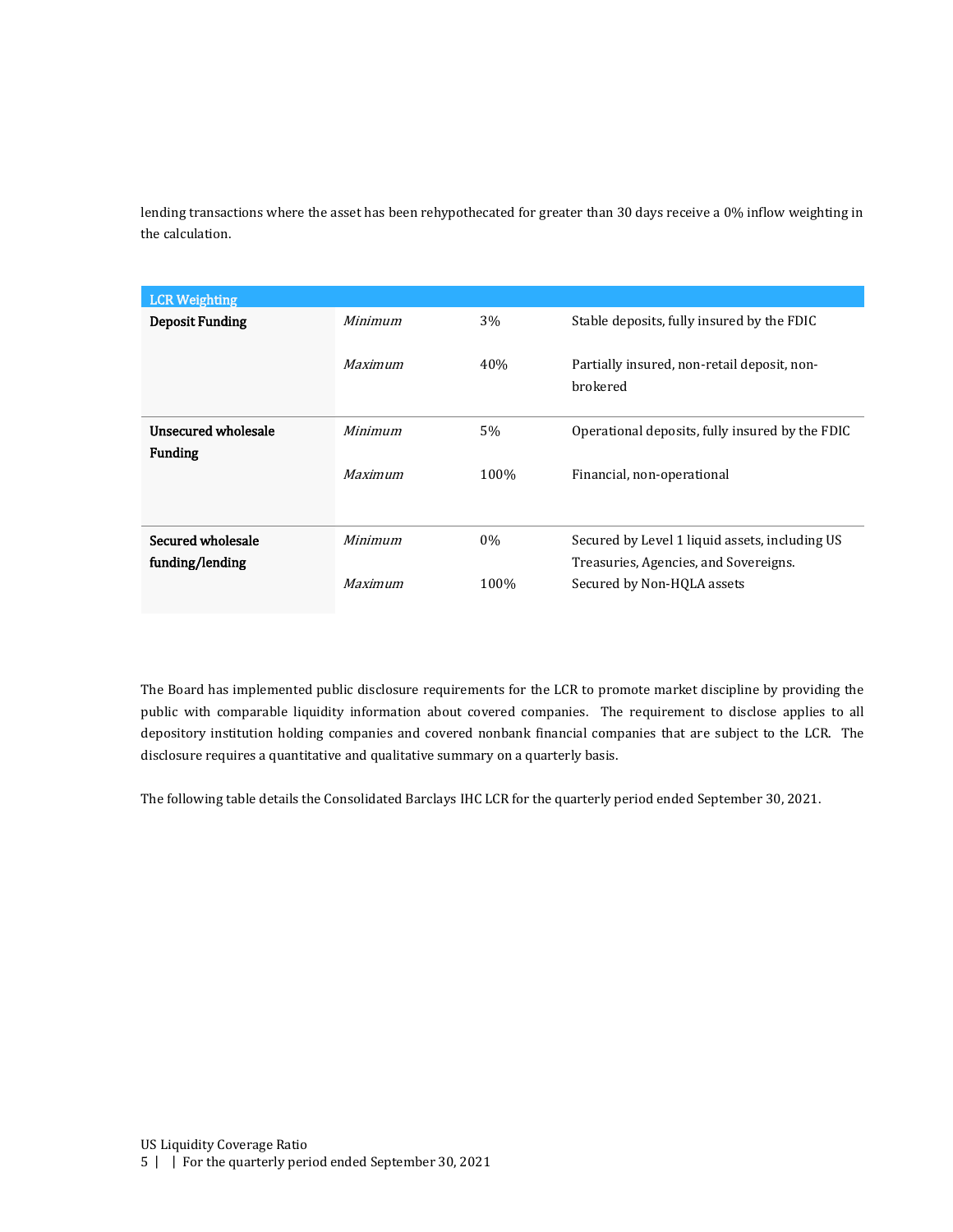lending transactions where the asset has been rehypothecated for greater than 30 days receive a 0% inflow weighting in the calculation.

| <b>LCR Weighting</b>   |                |       |                                                         |
|------------------------|----------------|-------|---------------------------------------------------------|
| <b>Deposit Funding</b> | <b>Minimum</b> | 3%    | Stable deposits, fully insured by the FDIC              |
|                        | Maximum        | 40%   | Partially insured, non-retail deposit, non-<br>brokered |
| Unsecured wholesale    | Minimum        | 5%    | Operational deposits, fully insured by the FDIC         |
| <b>Funding</b>         |                |       |                                                         |
|                        | <b>Maximum</b> | 100%  | Financial, non-operational                              |
|                        |                |       |                                                         |
| Secured wholesale      | Minimum        | $0\%$ | Secured by Level 1 liquid assets, including US          |
| funding/lending        |                |       | Treasuries, Agencies, and Sovereigns.                   |
|                        | Maximum        | 100%  | Secured by Non-HQLA assets                              |

The Board has implemented public disclosure requirements for the LCR to promote market discipline by providing the public with comparable liquidity information about covered companies. The requirement to disclose applies to all depository institution holding companies and covered nonbank financial companies that are subject to the LCR. The disclosure requires a quantitative and qualitative summary on a quarterly basis.

The following table details the Consolidated Barclays IHC LCR for the quarterly period ended September 30, 2021.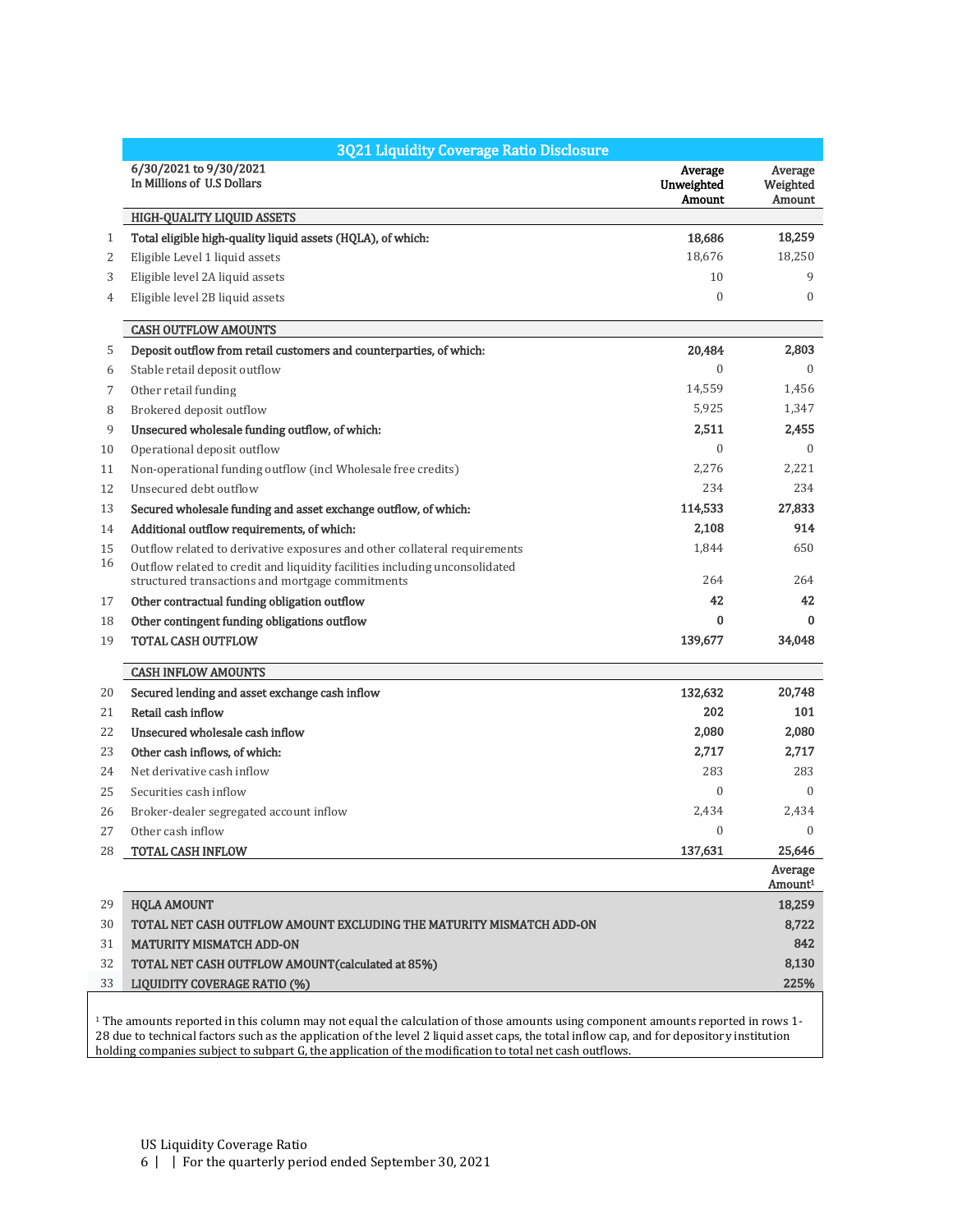|    | 3Q21 Liquidity Coverage Ratio Disclosure                                                                                        |                                 |                                      |
|----|---------------------------------------------------------------------------------------------------------------------------------|---------------------------------|--------------------------------------|
|    | 6/30/2021 to 9/30/2021<br>In Millions of U.S Dollars                                                                            | Average<br>Unweighted<br>Amount | Average<br>Weighted<br><b>Amount</b> |
|    | <b>HIGH-QUALITY LIQUID ASSETS</b>                                                                                               |                                 |                                      |
| 1  | Total eligible high-quality liquid assets (HQLA), of which:                                                                     | 18,686                          | 18,259                               |
| 2  | Eligible Level 1 liquid assets                                                                                                  | 18,676                          | 18,250                               |
| 3  | Eligible level 2A liquid assets                                                                                                 | 10                              | 9                                    |
| 4  | Eligible level 2B liquid assets                                                                                                 | $\mathbf{0}$                    | $\mathbf{0}$                         |
|    | <b>CASH OUTFLOW AMOUNTS</b>                                                                                                     |                                 |                                      |
| 5  | Deposit outflow from retail customers and counterparties, of which:                                                             | 20,484                          | 2,803                                |
| 6  | Stable retail deposit outflow                                                                                                   | $\boldsymbol{0}$                | $\Omega$                             |
| 7  | Other retail funding                                                                                                            | 14,559                          | 1,456                                |
| 8  | Brokered deposit outflow                                                                                                        | 5,925                           | 1,347                                |
| 9  | Unsecured wholesale funding outflow, of which:                                                                                  | 2,511                           | 2,455                                |
| 10 | Operational deposit outflow                                                                                                     | $\boldsymbol{0}$                | $\mathbf{0}$                         |
| 11 | Non-operational funding outflow (incl Wholesale free credits)                                                                   | 2,276                           | 2,221                                |
| 12 | Unsecured debt outflow                                                                                                          | 234                             | 234                                  |
| 13 | Secured wholesale funding and asset exchange outflow, of which:                                                                 | 114,533                         | 27,833                               |
| 14 | Additional outflow requirements, of which:                                                                                      | 2,108                           | 914                                  |
| 15 | Outflow related to derivative exposures and other collateral requirements                                                       | 1,844                           | 650                                  |
| 16 | Outflow related to credit and liquidity facilities including unconsolidated<br>structured transactions and mortgage commitments | 264                             | 264                                  |
| 17 | Other contractual funding obligation outflow                                                                                    | 42                              | 42                                   |
| 18 | Other contingent funding obligations outflow                                                                                    | 0                               | $\bf{0}$                             |
| 19 | <b>TOTAL CASH OUTFLOW</b>                                                                                                       | 139,677                         | 34,048                               |
|    | <b>CASH INFLOW AMOUNTS</b>                                                                                                      |                                 |                                      |
| 20 | Secured lending and asset exchange cash inflow                                                                                  | 132,632                         | 20,748                               |
| 21 | Retail cash inflow                                                                                                              | 202                             | 101                                  |
| 22 | Unsecured wholesale cash inflow                                                                                                 | 2,080                           | 2,080                                |
| 23 | Other cash inflows, of which:                                                                                                   | 2,717                           | 2,717                                |
| 24 | Net derivative cash inflow                                                                                                      | 283                             | 283                                  |
| 25 | Securities cash inflow                                                                                                          | $\boldsymbol{0}$                | $\Omega$                             |
| 26 | Broker-dealer segregated account inflow                                                                                         | 2,434                           | 2,434                                |
| 27 | Other cash inflow                                                                                                               | $\Omega$                        | $\Omega$                             |
| 28 | <b>TOTAL CASH INFLOW</b>                                                                                                        | 137,631                         | 25,646                               |
|    |                                                                                                                                 |                                 | Average<br>Amount <sup>1</sup>       |
| 29 | <b>HQLA AMOUNT</b>                                                                                                              |                                 | 18,259                               |
| 30 | TOTAL NET CASH OUTFLOW AMOUNT EXCLUDING THE MATURITY MISMATCH ADD-ON                                                            |                                 | 8,722                                |
| 31 | <b>MATURITY MISMATCH ADD-ON</b>                                                                                                 |                                 | 842                                  |
| 32 | TOTAL NET CASH OUTFLOW AMOUNT (calculated at 85%)                                                                               |                                 | 8,130                                |
| 33 | <b>LIQUIDITY COVERAGE RATIO (%)</b>                                                                                             |                                 | 225%                                 |

 $^{\rm 1}$  The amounts reported in this column may not equal the calculation of those amounts using component amounts reported in rows  $1\cdot$ 28 due to technical factors such as the application of the level 2 liquid asset caps, the total inflow cap, and for depository institution holding companies subject to subpart G, the application of the modification to total net cash outflows.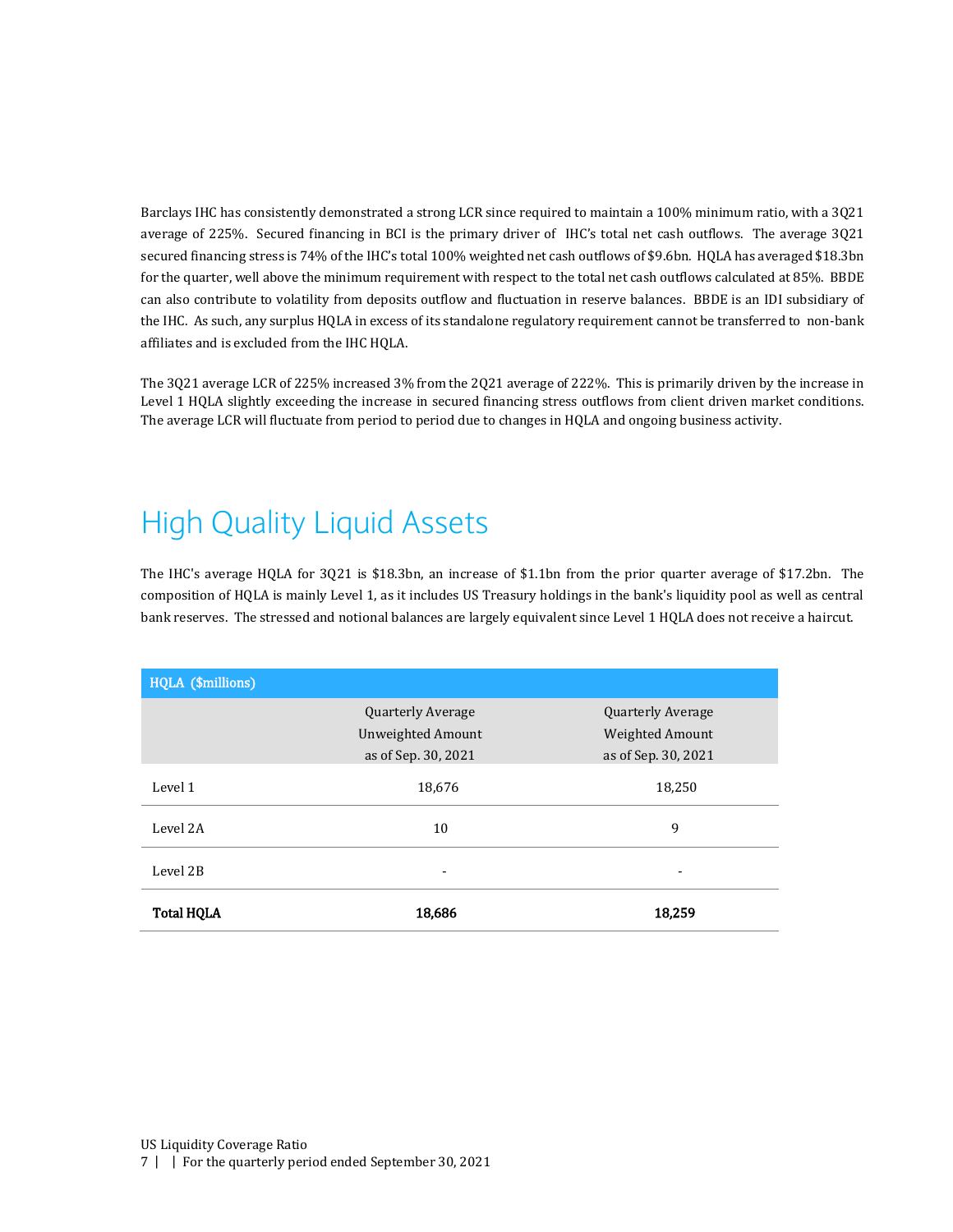Barclays IHC has consistently demonstrated a strong LCR since required to maintain a 100% minimum ratio, with a 3Q21 average of 225%. Secured financing in BCI is the primary driver of IHC's total net cash outflows. The average 3Q21 secured financing stress is 74% of the IHC's total 100% weighted net cash outflows of \$9.6bn. HQLA has averaged \$18.3bn for the quarter, well above the minimum requirement with respect to the total net cash outflows calculated at 85%. BBDE can also contribute to volatility from deposits outflow and fluctuation in reserve balances. BBDE is an IDI subsidiary of the IHC. As such, any surplus HQLA in excess of its standalone regulatory requirement cannot be transferred to non-bank affiliates and is excluded from the IHC HQLA.

The 3Q21 average LCR of 225% increased 3% from the 2Q21 average of 222%. This is primarily driven by the increase in Level 1 HQLA slightly exceeding the increase in secured financing stress outflows from client driven market conditions. The average LCR will fluctuate from period to period due to changes in HQLA and ongoing business activity.

# <span id="page-6-0"></span>High Quality Liquid Assets

The IHC's average HQLA for 3Q21 is \$18.3bn, an increase of \$1.1bn from the prior quarter average of \$17.2bn. The composition of HQLA is mainly Level 1, as it includes US Treasury holdings in the bank's liquidity pool as well as central bank reserves. The stressed and notional balances are largely equivalent since Level 1 HQLA does not receive a haircut.

| HQLA (\$millions) |                          |                          |
|-------------------|--------------------------|--------------------------|
|                   | <b>Quarterly Average</b> | <b>Quarterly Average</b> |
|                   | <b>Unweighted Amount</b> | Weighted Amount          |
|                   | as of Sep. 30, 2021      | as of Sep. 30, 2021      |
| Level 1           | 18,676                   | 18,250                   |
| Level 2A          | 10                       | 9                        |
| Level 2B          | -                        | -                        |
| <b>Total HQLA</b> | 18,686                   | 18,259                   |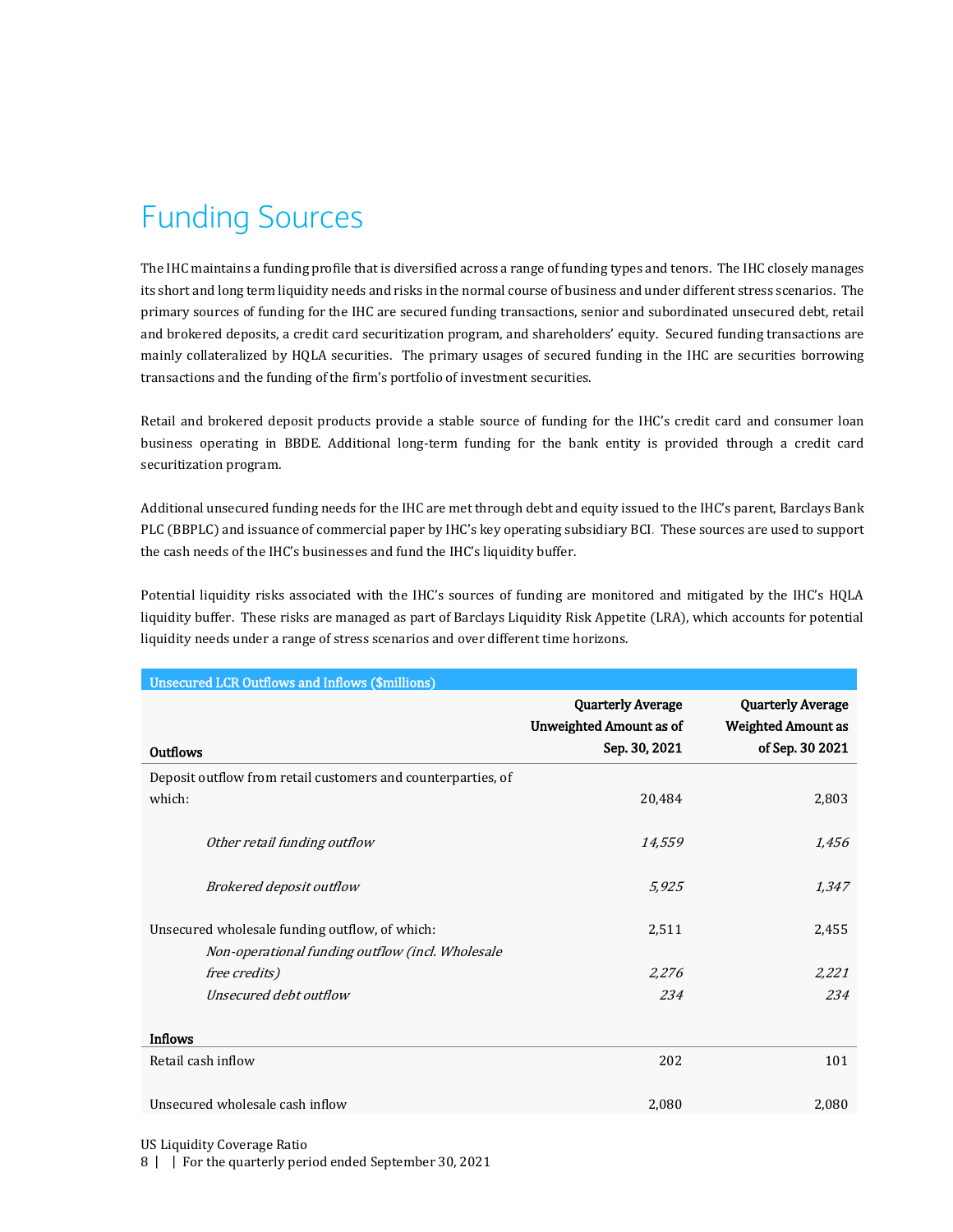# <span id="page-7-0"></span>Funding Sources

The IHC maintains a funding profile that is diversified across a range of funding types and tenors. The IHC closely manages its short and long term liquidity needs and risks in the normal course of business and under different stress scenarios. The primary sources of funding for the IHC are secured funding transactions, senior and subordinated unsecured debt, retail and brokered deposits, a credit card securitization program, and shareholders' equity. Secured funding transactions are mainly collateralized by HQLA securities. The primary usages of secured funding in the IHC are securities borrowing transactions and the funding of the firm's portfolio of investment securities.

Retail and brokered deposit products provide a stable source of funding for the IHC's credit card and consumer loan business operating in BBDE. Additional long-term funding for the bank entity is provided through a credit card securitization program.

Additional unsecured funding needs for the IHC are met through debt and equity issued to the IHC's parent, Barclays Bank PLC (BBPLC) and issuance of commercial paper by IHC's key operating subsidiary BCI. These sources are used to support the cash needs of the IHC's businesses and fund the IHC's liquidity buffer.

Potential liquidity risks associated with the IHC's sources of funding are monitored and mitigated by the IHC's HQLA liquidity buffer. These risks are managed as part of Barclays Liquidity Risk Appetite (LRA), which accounts for potential liquidity needs under a range of stress scenarios and over different time horizons.

| <b>Unsecured LCR Outflows and Inflows (\$millions)</b>       |                                                            |                                                       |
|--------------------------------------------------------------|------------------------------------------------------------|-------------------------------------------------------|
|                                                              | <b>Quarterly Average</b><br><b>Unweighted Amount as of</b> | <b>Quarterly Average</b><br><b>Weighted Amount as</b> |
| <b>Outflows</b>                                              | Sep. 30, 2021                                              | of Sep. 30 2021                                       |
| Deposit outflow from retail customers and counterparties, of |                                                            |                                                       |
| which:                                                       | 20,484                                                     | 2,803                                                 |
| Other retail funding outflow                                 | 14,559                                                     | 1,456                                                 |
| Brokered deposit outflow                                     | 5,925                                                      | 1,347                                                 |
| Unsecured wholesale funding outflow, of which:               | 2,511                                                      | 2,455                                                 |
| Non-operational funding outflow (incl. Wholesale             |                                                            |                                                       |
| free credits)                                                | 2,276                                                      | 2,221                                                 |
| Unsecured debt outflow                                       | 234                                                        | 234                                                   |
| <b>Inflows</b>                                               |                                                            |                                                       |
| Retail cash inflow                                           | 202                                                        | 101                                                   |
| Unsecured wholesale cash inflow                              | 2,080                                                      | 2,080                                                 |

US Liquidity Coverage Ratio

8 | | For the quarterly period ended September 30, 2021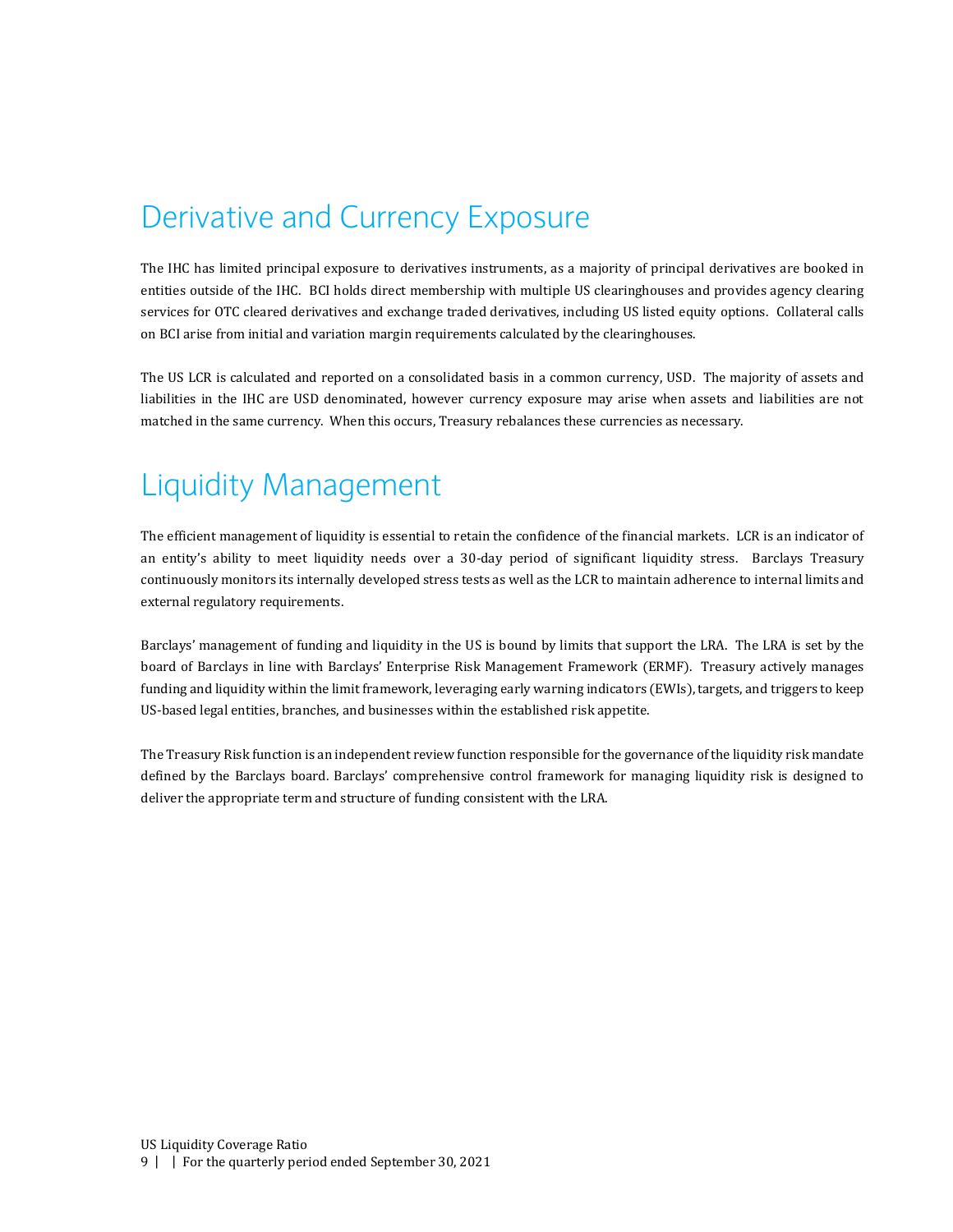#### <span id="page-8-0"></span>Derivative and Currency Exposure

The IHC has limited principal exposure to derivatives instruments, as a majority of principal derivatives are booked in entities outside of the IHC. BCI holds direct membership with multiple US clearinghouses and provides agency clearing services for OTC cleared derivatives and exchange traded derivatives, including US listed equity options. Collateral calls on BCI arise from initial and variation margin requirements calculated by the clearinghouses.

The US LCR is calculated and reported on a consolidated basis in a common currency, USD. The majority of assets and liabilities in the IHC are USD denominated, however currency exposure may arise when assets and liabilities are not matched in the same currency. When this occurs, Treasury rebalances these currencies as necessary.

#### <span id="page-8-1"></span>Liquidity Management

The efficient management of liquidity is essential to retain the confidence of the financial markets. LCR is an indicator of an entity's ability to meet liquidity needs over a 30-day period of significant liquidity stress. Barclays Treasury continuously monitors its internally developed stress tests as well as the LCR to maintain adherence to internal limits and external regulatory requirements.

Barclays' management of funding and liquidity in the US is bound by limits that support the LRA. The LRA is set by the board of Barclays in line with Barclays' Enterprise Risk Management Framework (ERMF). Treasury actively manages funding and liquidity within the limit framework, leveraging early warning indicators (EWIs), targets, and triggers to keep US-based legal entities, branches, and businesses within the established risk appetite.

The Treasury Risk function is an independent review function responsible for the governance of the liquidity risk mandate defined by the Barclays board. Barclays' comprehensive control framework for managing liquidity risk is designed to deliver the appropriate term and structure of funding consistent with the LRA.